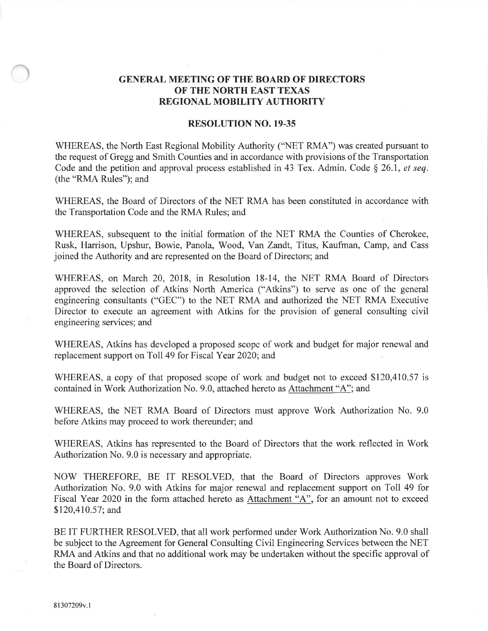## GENERAL MEETING OF THE BOARD OF DIRECTORS OF THE NORTH EAST TEXAS REGIONAL MOBILITY AUTHORITY

## RESOLUTION NO. 19.35

WHEREAS, the North East Regional Mobility Authority ("NET RMA") was created pursuant to the request of Gregg and Smith Counties and in accordance with provisions of the Transportation Code and the petition and approval process established in 43 Tex. Admin. Code  $\S$  26.1, *et seq.* (the "RMA Rules"); and

WHEREAS, the Board of Directors of the NET RMA has been constituted in accordance with the Transportation Code and the RMA Rules; and

WHEREAS, subsequent to the initial formation of the NET RMA the Counties of Cherokee, Rusk, Hamison, Upshur, Bowie, Panola, Wood, Yan Zandt, Titus, Kaufman, Camp, and Cass joined the Authority and are represented on the Board of Directors; and

WHEREAS, on March 20, 2018, in Resolution 18-14, the NET RMA Board of Directors approved the selection of Atkins North America ("Atkins") to serve as one of the general engineering consultants ("GEC") to the NET RMA and authorized the NET RMA Executive Director to execute an agreement with Atkins for the provision of general consulting civil engineering services; and

WHEREAS, Atkins has developed a proposed scope of work and budget for major renewal and replacement support on Toll 49 for Fiscal Year 2020; and

WHEREAS, a copy of that proposed scope of work and budget not to exceed \$120,410.57 is contained in Work Authorization No. 9.0, attached hereto as Attachment "A"; and

WHEREAS, the NET RMA Board of Directors must approve Work Authorization No. 9.0 before Atkins may proceed to work thereunder; and

WHEREAS, Atkins has represented to the Board of Directors that the work reflected in Work Authorization No. 9.0 is necessary and appropriate.

NOW THEREFORE, BE IT RESOLVED, that the Board of Directors approves Work Authorization No. 9.0 with Atkins for major renewal and replacement support on Toll 49 for Fiscal Year 2020 in the form attached hereto as Attachment "A", for an amount not to exceed \$120,410.57; and

BE IT FURTHER RESOLVED, that all work performed under Work Authorization No. 9.0 shall be subject to the Agreement for General Consulting Civil Engineering Services between the NET RMA and Atkins and that no additional work may be undertaken without the specific approval of the Board of Directors.